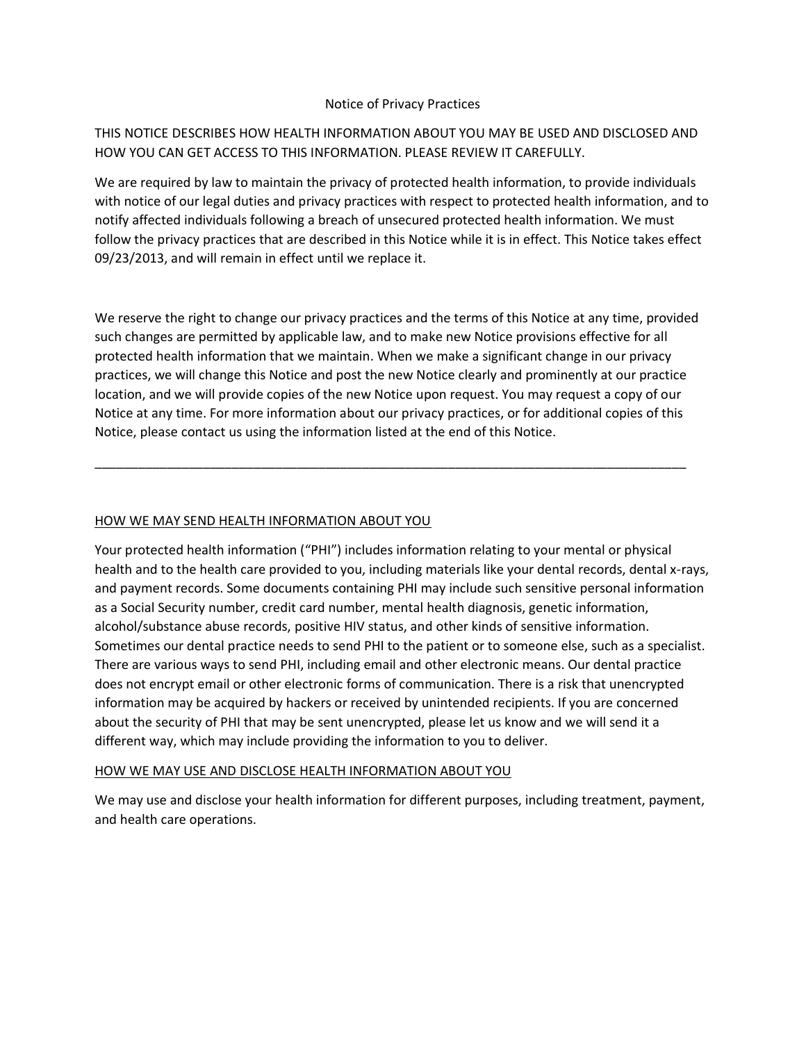#### Notice of Privacy Practices

# THIS NOTICE DESCRIBES HOW HEALTH INFORMATION ABOUT YOU MAY BE USED AND DISCLOSED AND HOW YOU CAN GET ACCESS TO THIS INFORMATION. PLEASE REVIEW IT CAREFULLY.

We are required by law to maintain the privacy of protected health information, to provide individuals with notice of our legal duties and privacy practices with respect to protected health information, and to notify affected individuals following a breach of unsecured protected health information. We must follow the privacy practices that are described in this Notice while it is in effect. This Notice takes effect 09/23/2013, and will remain in effect until we replace it.

We reserve the right to change our privacy practices and the terms of this Notice at any time, provided such changes are permitted by applicable law, and to make new Notice provisions effective for all protected health information that we maintain. When we make a significant change in our privacy practices, we will change this Notice and post the new Notice clearly and prominently at our practice location, and we will provide copies of the new Notice upon request. You may request a copy of our Notice at any time. For more information about our privacy practices, or for additional copies of this Notice, please contact us using the information listed at the end of this Notice.

\_\_\_\_\_\_\_\_\_\_\_\_\_\_\_\_\_\_\_\_\_\_\_\_\_\_\_\_\_\_\_\_\_\_\_\_\_\_\_\_\_\_\_\_\_\_\_\_\_\_\_\_\_\_\_\_\_\_\_\_\_\_\_\_\_\_\_\_\_\_\_\_\_\_\_\_\_\_\_\_\_\_

## HOW WE MAY SEND HEALTH INFORMATION ABOUT YOU

Your protected health information ("PHI") includes information relating to your mental or physical health and to the health care provided to you, including materials like your dental records, dental x-rays, and payment records. Some documents containing PHI may include such sensitive personal information as a Social Security number, credit card number, mental health diagnosis, genetic information, alcohol/substance abuse records, positive HIV status, and other kinds of sensitive information. Sometimes our dental practice needs to send PHI to the patient or to someone else, such as a specialist. There are various ways to send PHI, including email and other electronic means. Our dental practice does not encrypt email or other electronic forms of communication. There is a risk that unencrypted information may be acquired by hackers or received by unintended recipients. If you are concerned about the security of PHI that may be sent unencrypted, please let us know and we will send it a different way, which may include providing the information to you to deliver.

### HOW WE MAY USE AND DISCLOSE HEALTH INFORMATION ABOUT YOU

We may use and disclose your health information for different purposes, including treatment, payment, and health care operations.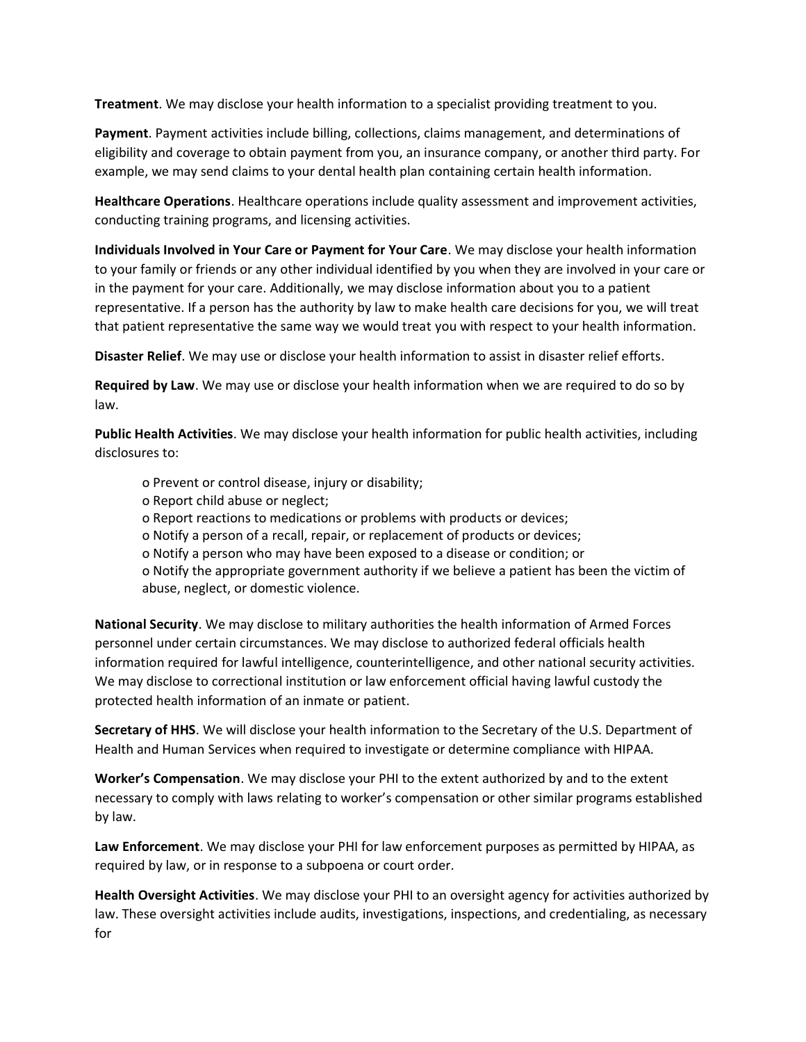**Treatment**. We may disclose your health information to a specialist providing treatment to you.

**Payment**. Payment activities include billing, collections, claims management, and determinations of eligibility and coverage to obtain payment from you, an insurance company, or another third party. For example, we may send claims to your dental health plan containing certain health information.

**Healthcare Operations**. Healthcare operations include quality assessment and improvement activities, conducting training programs, and licensing activities.

**Individuals Involved in Your Care or Payment for Your Care**. We may disclose your health information to your family or friends or any other individual identified by you when they are involved in your care or in the payment for your care. Additionally, we may disclose information about you to a patient representative. If a person has the authority by law to make health care decisions for you, we will treat that patient representative the same way we would treat you with respect to your health information.

**Disaster Relief**. We may use or disclose your health information to assist in disaster relief efforts.

**Required by Law**. We may use or disclose your health information when we are required to do so by law.

**Public Health Activities**. We may disclose your health information for public health activities, including disclosures to:

- o Prevent or control disease, injury or disability;
- o Report child abuse or neglect;
- o Report reactions to medications or problems with products or devices;
- o Notify a person of a recall, repair, or replacement of products or devices;
- o Notify a person who may have been exposed to a disease or condition; or

o Notify the appropriate government authority if we believe a patient has been the victim of abuse, neglect, or domestic violence.

**National Security**. We may disclose to military authorities the health information of Armed Forces personnel under certain circumstances. We may disclose to authorized federal officials health information required for lawful intelligence, counterintelligence, and other national security activities. We may disclose to correctional institution or law enforcement official having lawful custody the protected health information of an inmate or patient.

**Secretary of HHS**. We will disclose your health information to the Secretary of the U.S. Department of Health and Human Services when required to investigate or determine compliance with HIPAA.

**Worker's Compensation**. We may disclose your PHI to the extent authorized by and to the extent necessary to comply with laws relating to worker's compensation or other similar programs established by law.

**Law Enforcement**. We may disclose your PHI for law enforcement purposes as permitted by HIPAA, as required by law, or in response to a subpoena or court order.

**Health Oversight Activities**. We may disclose your PHI to an oversight agency for activities authorized by law. These oversight activities include audits, investigations, inspections, and credentialing, as necessary for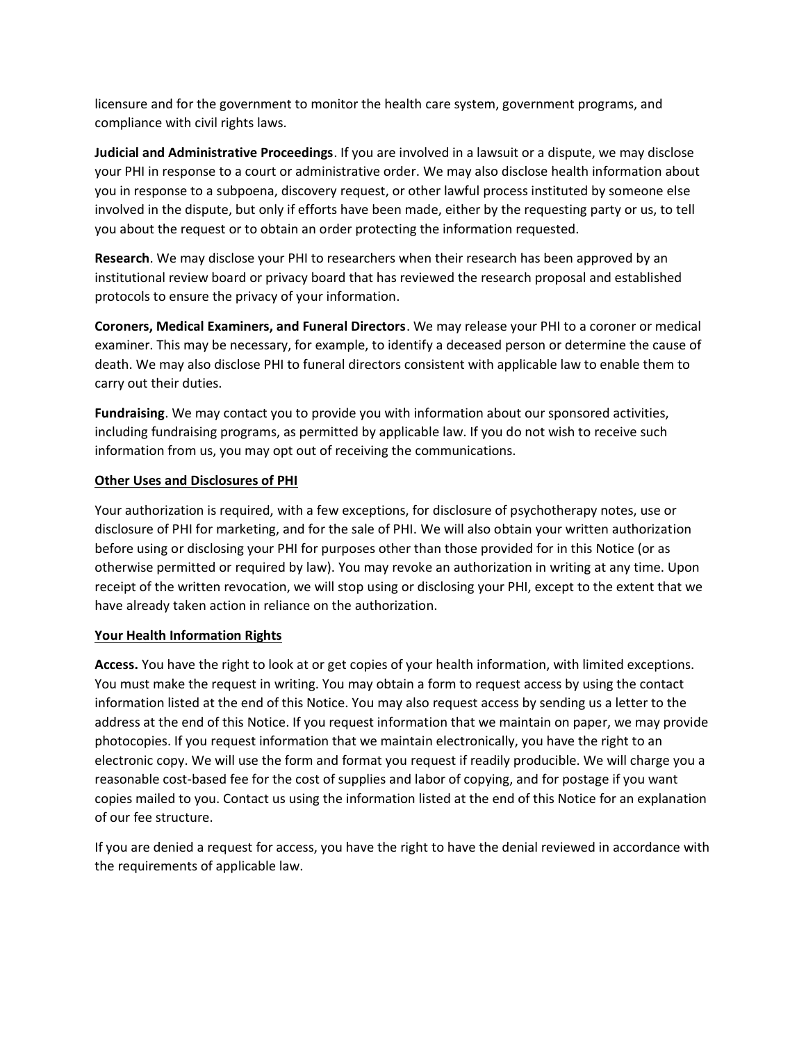licensure and for the government to monitor the health care system, government programs, and compliance with civil rights laws.

**Judicial and Administrative Proceedings**. If you are involved in a lawsuit or a dispute, we may disclose your PHI in response to a court or administrative order. We may also disclose health information about you in response to a subpoena, discovery request, or other lawful process instituted by someone else involved in the dispute, but only if efforts have been made, either by the requesting party or us, to tell you about the request or to obtain an order protecting the information requested.

**Research**. We may disclose your PHI to researchers when their research has been approved by an institutional review board or privacy board that has reviewed the research proposal and established protocols to ensure the privacy of your information.

**Coroners, Medical Examiners, and Funeral Directors**. We may release your PHI to a coroner or medical examiner. This may be necessary, for example, to identify a deceased person or determine the cause of death. We may also disclose PHI to funeral directors consistent with applicable law to enable them to carry out their duties.

**Fundraising**. We may contact you to provide you with information about our sponsored activities, including fundraising programs, as permitted by applicable law. If you do not wish to receive such information from us, you may opt out of receiving the communications.

### **Other Uses and Disclosures of PHI**

Your authorization is required, with a few exceptions, for disclosure of psychotherapy notes, use or disclosure of PHI for marketing, and for the sale of PHI. We will also obtain your written authorization before using or disclosing your PHI for purposes other than those provided for in this Notice (or as otherwise permitted or required by law). You may revoke an authorization in writing at any time. Upon receipt of the written revocation, we will stop using or disclosing your PHI, except to the extent that we have already taken action in reliance on the authorization.

### **Your Health Information Rights**

**Access.** You have the right to look at or get copies of your health information, with limited exceptions. You must make the request in writing. You may obtain a form to request access by using the contact information listed at the end of this Notice. You may also request access by sending us a letter to the address at the end of this Notice. If you request information that we maintain on paper, we may provide photocopies. If you request information that we maintain electronically, you have the right to an electronic copy. We will use the form and format you request if readily producible. We will charge you a reasonable cost-based fee for the cost of supplies and labor of copying, and for postage if you want copies mailed to you. Contact us using the information listed at the end of this Notice for an explanation of our fee structure.

If you are denied a request for access, you have the right to have the denial reviewed in accordance with the requirements of applicable law.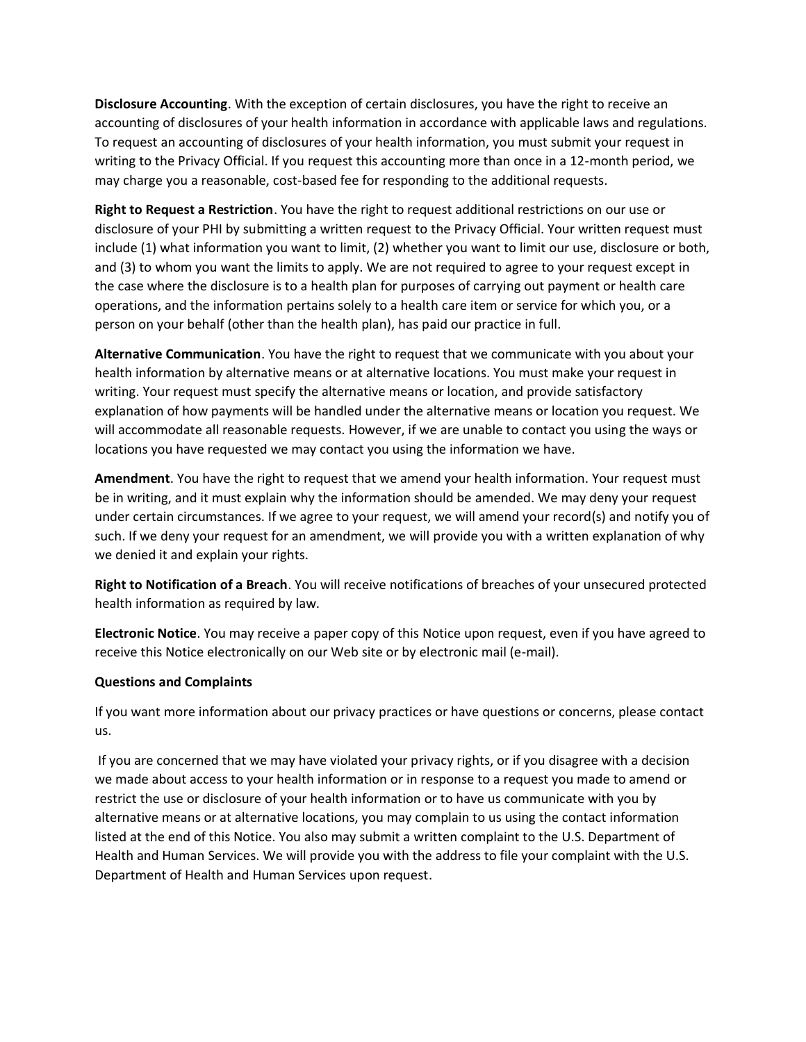**Disclosure Accounting**. With the exception of certain disclosures, you have the right to receive an accounting of disclosures of your health information in accordance with applicable laws and regulations. To request an accounting of disclosures of your health information, you must submit your request in writing to the Privacy Official. If you request this accounting more than once in a 12-month period, we may charge you a reasonable, cost-based fee for responding to the additional requests.

**Right to Request a Restriction**. You have the right to request additional restrictions on our use or disclosure of your PHI by submitting a written request to the Privacy Official. Your written request must include (1) what information you want to limit, (2) whether you want to limit our use, disclosure or both, and (3) to whom you want the limits to apply. We are not required to agree to your request except in the case where the disclosure is to a health plan for purposes of carrying out payment or health care operations, and the information pertains solely to a health care item or service for which you, or a person on your behalf (other than the health plan), has paid our practice in full.

**Alternative Communication**. You have the right to request that we communicate with you about your health information by alternative means or at alternative locations. You must make your request in writing. Your request must specify the alternative means or location, and provide satisfactory explanation of how payments will be handled under the alternative means or location you request. We will accommodate all reasonable requests. However, if we are unable to contact you using the ways or locations you have requested we may contact you using the information we have.

**Amendment**. You have the right to request that we amend your health information. Your request must be in writing, and it must explain why the information should be amended. We may deny your request under certain circumstances. If we agree to your request, we will amend your record(s) and notify you of such. If we deny your request for an amendment, we will provide you with a written explanation of why we denied it and explain your rights.

**Right to Notification of a Breach**. You will receive notifications of breaches of your unsecured protected health information as required by law.

**Electronic Notice**. You may receive a paper copy of this Notice upon request, even if you have agreed to receive this Notice electronically on our Web site or by electronic mail (e-mail).

### **Questions and Complaints**

If you want more information about our privacy practices or have questions or concerns, please contact us.

If you are concerned that we may have violated your privacy rights, or if you disagree with a decision we made about access to your health information or in response to a request you made to amend or restrict the use or disclosure of your health information or to have us communicate with you by alternative means or at alternative locations, you may complain to us using the contact information listed at the end of this Notice. You also may submit a written complaint to the U.S. Department of Health and Human Services. We will provide you with the address to file your complaint with the U.S. Department of Health and Human Services upon request.